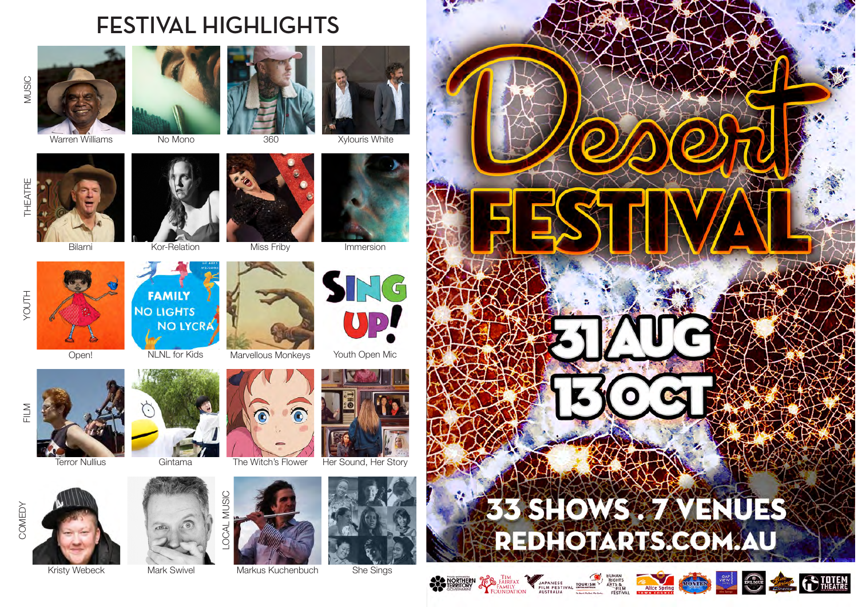## **FESTIVAL HIGHLIGHTS**





Warren Williams No Mono 360 Xylouris White











**NO LIGHTS** 



**FAMILY** 

**NO LYCRA** 

























Terror Nullius Gintama The Witch's Flower Her Sound, Her Story



YOUTH